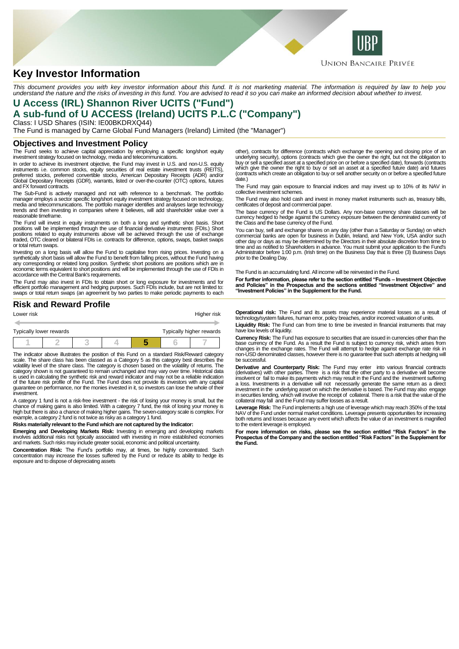

# **Key Investor Information**

This document provides you with key investor information about this fund. It is not marketing material. The information is required by law to help you<br>understand the nature and the risks of investing in this fund. You are

## **U Access (IRL) Shannon River UCITS ("Fund") A sub-fund of U ACCESS (Ireland) UCITS P.L.C ("Company")**

Class: I USD Shares (ISIN: IE00BKDRXQ44) The Fund is managed by Carne Global Fund Managers (Ireland) Limited (the "Manager")

### **Objectives and Investment Policy**

The Fund seeks to achieve capital appreciation by employing a specific long/short equity investment strategy focused on technology, media and telecommunications.

In order to achieve its investment objective, the Fund may invest in U.S. and non-U.S. equity instruments i.e. common stocks, equity securities of real estate investment trusts (REITS),<br>preferred stocks, preferred convertible stocks, American Depositary Receipts (ADR) and/or<br>Global Depositary Receipts (GDR), warran and FX forward contracts.

The Sub-Fund is actively managed and not with reference to a benchmark. The portfolio manager employs a sector specific long/short equity investment strategy focused on technology, media and telecommunications. The portfolio manager identifies and analyses large technology trends and then investing in companies where it believes, will add shareholder value over a reasonable timeframe.

The Fund will invest in equity instruments on both a long and synthetic short basis. Short positions will be implemented through the use of financial derivative instruments (FDIs.) Short positions related to equity instruments above will be achieved through the use of exchange traded, OTC cleared or bilateral FDIs i.e. contracts for difference, options, swaps, basket swaps or total return swaps.

Investing on a long basis will allow the Fund to capitalise from rising prices. Investing on a<br>synthetically short basis will allow the Fund to benefit from falling prices, without the Fund having<br>any corresponding or rela economic terms equivalent to short positions and will be implemented through the use of FDIs in accordance with the Central Bank's requirements.

The Fund may also invest in FDIs to obtain short or long exposure for investments and for<br>efficient portfolio management and hedging purposes. Such FDIs include, but are not limited to:<br>swaps or total return swaps (an agre

### **Risk and Reward Profile**

| Lower risk                                          |  |  |  |  |  | Higher risk |  |
|-----------------------------------------------------|--|--|--|--|--|-------------|--|
|                                                     |  |  |  |  |  |             |  |
| Typically higher rewards<br>Typically lower rewards |  |  |  |  |  |             |  |
|                                                     |  |  |  |  |  |             |  |

The indicator above illustrates the position of this Fund on a standard Risk/Reward category scale. The share class has been classed as a Category 5 as this category best describes the volatility level of the share class. The category is chosen based on the volatility of returns. The category shown is not guaranteed to remain unchanged and may vary over time. Historical data is used in calculating the synthetic risk and reward indicator and may not be a reliable indication of the future risk profile of the Fund. The Fund does not provide its investors with any capital guarantee on performance, nor the monies invested in it, so investors can lose the whole of their investment.

A category 1 fund is not a risk-free investment - the risk of losing your money is small, but the<br>chance of making gains is also limited. With a category 7 fund, the risk of losing your money is<br>high but there is also a ch

#### **Risks materially relevant to the Fund which are not captured by the Indicator:**

**Emerging and Developing Markets Risk:** Investing in emerging and developing markets involves additional risks not typically associated with investing in more established economies and markets. Such risks may include greater social, economic and political uncertainty.

**Concentration Risk:** The Fund's portfolio may, at times, be highly concentrated. Such<br>concentration may increase the losses suffered by the Fund or reduce its ability to hedge its<br>exposure and to dispose of depreciating a

other), contracts for difference (contracts which exchange the opening and closing price of an underlying security), options (contracts which give the owner the right, but not the obligation to buy or sell a specified asset at a specified price on or before a specified date), forwards (contracts which give the owner the right to buy or sell an asset at a specified future date) and futures (contracts which create an obligation to buy or sell another security on or before a specified future date.)

The Fund may gain exposure to financial indices and may invest up to 10% of its NAV in collective investment schemes.

The Fund may also hold cash and invest in money market instruments such as, treasury bills, certificates of deposit and commercial paper.

The base currency of the Fund is US Dollars. Any non-base currency share classes will be currency hedged to hedge against the currency exposure between the denominated currency of the Class and the base currency of the Fund.

You can buy, sell and exchange shares on any day (other than a Saturday or Sunday) on which commercial banks are open for business in Dublin, Ireland, and New York, USA and/or such other day or days as may be determined by the Directors in their absolute discretion from time to<br>time and as notified to Shareholders in advance. You must submit your application to the Fund's<br>Administrator before 1:00 p. prior to the Dealing Day.

The Fund is an accumulating fund. All income will be reinvested in the Fund.

**For further information, please refer to the section entitled "Funds – Investment Objective and Policies" in the Prospectus and the sections entitled "Investment Objective" and "Investment Policies" in the Supplement for the Fund.**

**Operational risk:** The Fund and its assets may experience material losses as a result of technology/system failures, human error, policy breaches, and/or incorrect valuation of units.

**Liquidity Risk:** The Fund can from time to time be invested in financial instruments that may have low levels of liquidity.

**Currency Risk:** The Fund has exposure to securities that are issued in currencies other than the<br>base currency of the Fund. As a result the Fund is subject to currency risk, which arises from<br>changes in the exchange rates non-USD denominated classes, however there is no guarantee that such attempts at hedging will be successful.

**Derivative and Counterparty Risk:** The Fund may enter into various financial contracts (derivatives) with other parties. There is a risk that the other party to a derivative will become insolvent or fail to make its payments which may result in the Fund and the investment suffering a loss. Investments in a derivative will not necessarily generate the same return as a direct investment in the underlying asset on which the derivative is based. The Fund may also engage in securities lending, which will involve the receipt of collateral. There is a risk that the value of the collateral may fall and the Fund may suffer losses as a result.

Leverage Risk: The Fund implements a high use of leverage which may reach 350% of the total<br>NAV of the Fund under normal market conditions. Leverage presents opportunities for increasing<br>both returns and losses because any to the extent leverage is employed.

**For more information on risks, please see the section entitled "Risk Factors" in the Prospectus of the Company and the section entitled "Risk Factors" in the Supplement for the Fund.**